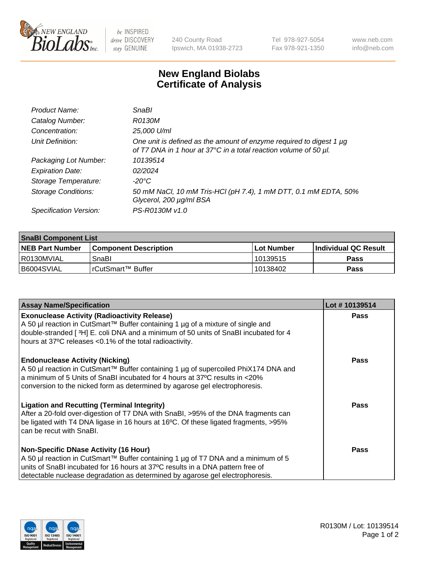

be INSPIRED drive DISCOVERY stay GENUINE

240 County Road Ipswich, MA 01938-2723 Tel 978-927-5054 Fax 978-921-1350 www.neb.com info@neb.com

## **New England Biolabs Certificate of Analysis**

| Product Name:              | SnaBl                                                                                                                                   |
|----------------------------|-----------------------------------------------------------------------------------------------------------------------------------------|
| Catalog Number:            | R0130M                                                                                                                                  |
| Concentration:             | 25,000 U/ml                                                                                                                             |
| Unit Definition:           | One unit is defined as the amount of enzyme required to digest 1 µg<br>of T7 DNA in 1 hour at 37°C in a total reaction volume of 50 µl. |
| Packaging Lot Number:      | 10139514                                                                                                                                |
| <b>Expiration Date:</b>    | 02/2024                                                                                                                                 |
| Storage Temperature:       | $-20^{\circ}$ C                                                                                                                         |
| <b>Storage Conditions:</b> | 50 mM NaCl, 10 mM Tris-HCl (pH 7.4), 1 mM DTT, 0.1 mM EDTA, 50%<br>Glycerol, 200 µg/ml BSA                                              |
| Specification Version:     | PS-R0130M v1.0                                                                                                                          |

| <b>SnaBI Component List</b> |                         |            |                             |  |  |
|-----------------------------|-------------------------|------------|-----------------------------|--|--|
| <b>NEB Part Number</b>      | l Component Description | Lot Number | <b>Individual QC Result</b> |  |  |
| I R0130MVIAL                | SnaBl                   | 10139515   | Pass                        |  |  |
| I B6004SVIAL                | l rCutSmart™ Buffer     | 10138402   | Pass                        |  |  |

| <b>Assay Name/Specification</b>                                                                                                                                                                                                                                                                      | Lot #10139514 |
|------------------------------------------------------------------------------------------------------------------------------------------------------------------------------------------------------------------------------------------------------------------------------------------------------|---------------|
| <b>Exonuclease Activity (Radioactivity Release)</b><br>A 50 µl reaction in CutSmart™ Buffer containing 1 µg of a mixture of single and<br>double-stranded [3H] E. coli DNA and a minimum of 50 units of SnaBI incubated for 4<br>hours at 37°C releases <0.1% of the total radioactivity.            | Pass          |
| <b>Endonuclease Activity (Nicking)</b><br>A 50 µl reaction in CutSmart™ Buffer containing 1 µg of supercoiled PhiX174 DNA and<br>a minimum of 5 Units of SnaBI incubated for 4 hours at 37°C results in <20%<br>conversion to the nicked form as determined by agarose gel electrophoresis.          | <b>Pass</b>   |
| <b>Ligation and Recutting (Terminal Integrity)</b><br>After a 20-fold over-digestion of T7 DNA with SnaBI, >95% of the DNA fragments can<br>be ligated with T4 DNA ligase in 16 hours at 16°C. Of these ligated fragments, >95%<br>can be recut with SnaBI.                                          | <b>Pass</b>   |
| <b>Non-Specific DNase Activity (16 Hour)</b><br>A 50 µl reaction in CutSmart™ Buffer containing 1 µg of T7 DNA and a minimum of 5<br>units of SnaBI incubated for 16 hours at 37°C results in a DNA pattern free of<br>detectable nuclease degradation as determined by agarose gel electrophoresis. | Pass          |